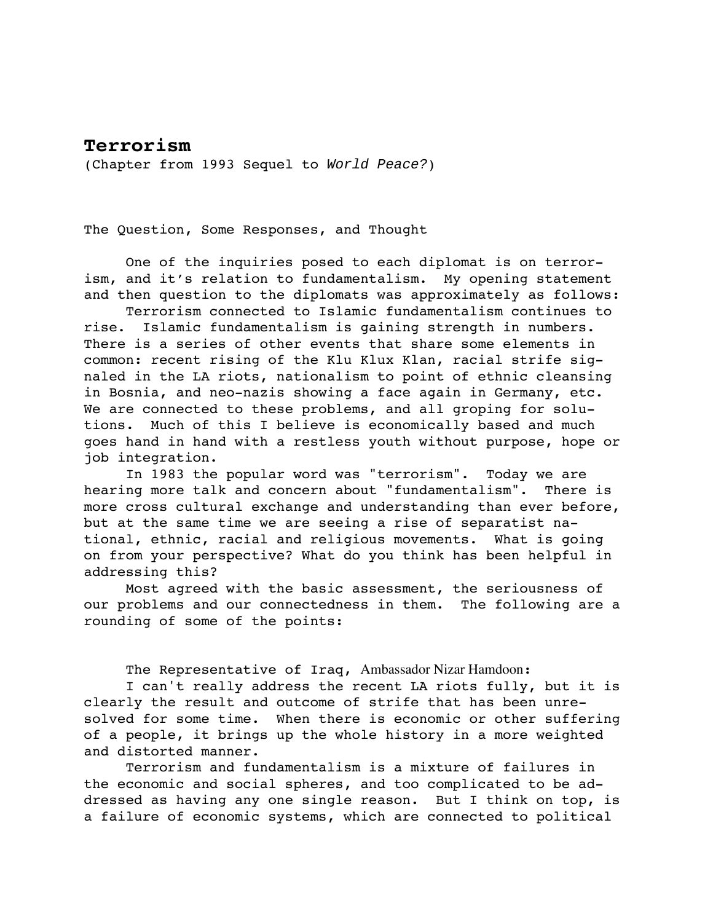## **Terrorism**

(Chapter from 1993 Sequel to World Peace?)

The Question, Some Responses, and Thought

One of the inquiries posed to each diplomat is on terrorism, and it's relation to fundamentalism. My opening statement and then question to the diplomats was approximately as follows:

Terrorism connected to Islamic fundamentalism continues to rise. Islamic fundamentalism is gaining strength in numbers. There is a series of other events that share some elements in common: recent rising of the Klu Klux Klan, racial strife signaled in the LA riots, nationalism to point of ethnic cleansing in Bosnia, and neo-nazis showing a face again in Germany, etc. We are connected to these problems, and all groping for solutions. Much of this I believe is economically based and much goes hand in hand with a restless youth without purpose, hope or job integration.

In 1983 the popular word was "terrorism". Today we are hearing more talk and concern about "fundamentalism". There is more cross cultural exchange and understanding than ever before, but at the same time we are seeing a rise of separatist national, ethnic, racial and religious movements. What is going on from your perspective? What do you think has been helpful in addressing this?

Most agreed with the basic assessment, the seriousness of our problems and our connectedness in them. The following are a rounding of some of the points:

The Representative of Iraq, Ambassador Nizar Hamdoon:

I can't really address the recent LA riots fully, but it is clearly the result and outcome of strife that has been unresolved for some time. When there is economic or other suffering of a people, it brings up the whole history in a more weighted and distorted manner.

Terrorism and fundamentalism is a mixture of failures in the economic and social spheres, and too complicated to be addressed as having any one single reason. But I think on top, is a failure of economic systems, which are connected to political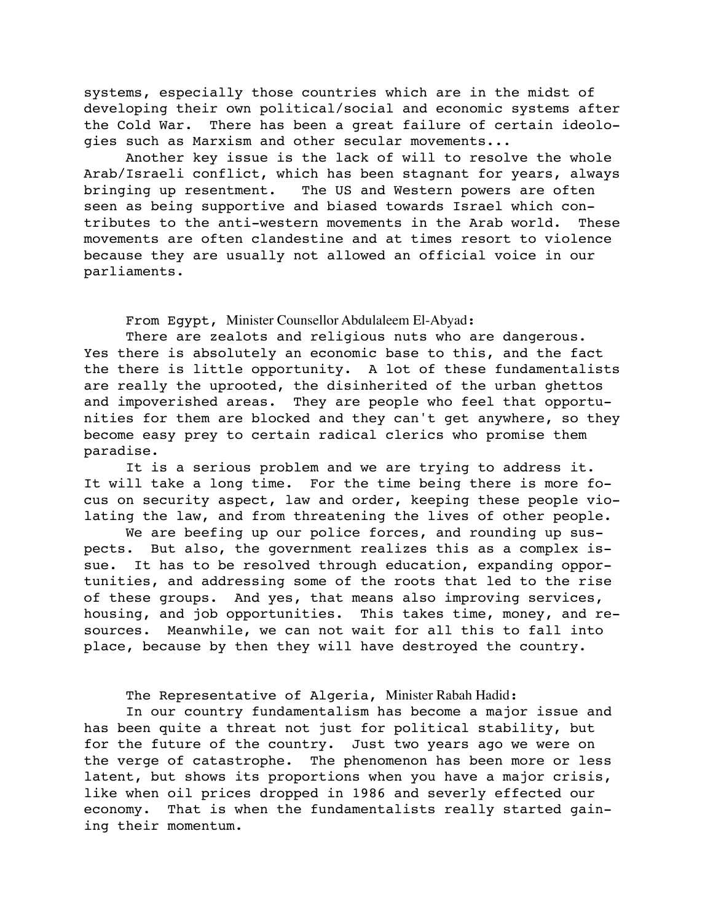systems, especially those countries which are in the midst of developing their own political/social and economic systems after the Cold War. There has been a great failure of certain ideologies such as Marxism and other secular movements...

Another key issue is the lack of will to resolve the whole Arab/Israeli conflict, which has been stagnant for years, always bringing up resentment. The US and Western powers are often seen as being supportive and biased towards Israel which contributes to the anti-western movements in the Arab world. These movements are often clandestine and at times resort to violence because they are usually not allowed an official voice in our parliaments.

From Egypt, Minister Counsellor Abdulaleem El-Abyad:

There are zealots and religious nuts who are dangerous. Yes there is absolutely an economic base to this, and the fact the there is little opportunity. A lot of these fundamentalists are really the uprooted, the disinherited of the urban ghettos and impoverished areas. They are people who feel that opportunities for them are blocked and they can't get anywhere, so they become easy prey to certain radical clerics who promise them paradise.

It is a serious problem and we are trying to address it. It will take a long time. For the time being there is more focus on security aspect, law and order, keeping these people violating the law, and from threatening the lives of other people.

We are beefing up our police forces, and rounding up suspects. But also, the government realizes this as a complex issue. It has to be resolved through education, expanding opportunities, and addressing some of the roots that led to the rise of these groups. And yes, that means also improving services, housing, and job opportunities. This takes time, money, and resources. Meanwhile, we can not wait for all this to fall into place, because by then they will have destroyed the country.

## The Representative of Algeria, Minister Rabah Hadid:

In our country fundamentalism has become a major issue and has been quite a threat not just for political stability, but for the future of the country. Just two years ago we were on the verge of catastrophe. The phenomenon has been more or less latent, but shows its proportions when you have a major crisis, like when oil prices dropped in 1986 and severly effected our economy. That is when the fundamentalists really started gaining their momentum.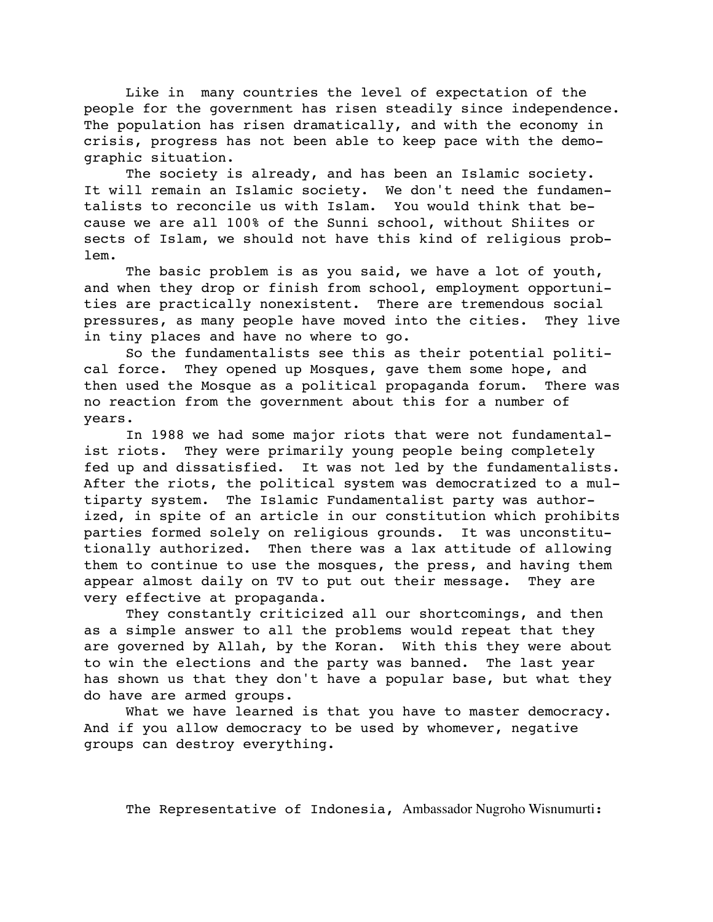Like in many countries the level of expectation of the people for the government has risen steadily since independence. The population has risen dramatically, and with the economy in crisis, progress has not been able to keep pace with the demographic situation.

The society is already, and has been an Islamic society. It will remain an Islamic society. We don't need the fundamentalists to reconcile us with Islam. You would think that because we are all 100% of the Sunni school, without Shiites or sects of Islam, we should not have this kind of religious problem.

The basic problem is as you said, we have a lot of youth, and when they drop or finish from school, employment opportunities are practically nonexistent. There are tremendous social pressures, as many people have moved into the cities. They live in tiny places and have no where to go.

So the fundamentalists see this as their potential political force. They opened up Mosques, gave them some hope, and then used the Mosque as a political propaganda forum. There was no reaction from the government about this for a number of years.

In 1988 we had some major riots that were not fundamentalist riots. They were primarily young people being completely fed up and dissatisfied. It was not led by the fundamentalists. After the riots, the political system was democratized to a multiparty system. The Islamic Fundamentalist party was authorized, in spite of an article in our constitution which prohibits parties formed solely on religious grounds. It was unconstitutionally authorized. Then there was a lax attitude of allowing them to continue to use the mosques, the press, and having them appear almost daily on TV to put out their message. They are very effective at propaganda.

They constantly criticized all our shortcomings, and then as a simple answer to all the problems would repeat that they are governed by Allah, by the Koran. With this they were about to win the elections and the party was banned. The last year has shown us that they don't have a popular base, but what they do have are armed groups.

What we have learned is that you have to master democracy. And if you allow democracy to be used by whomever, negative groups can destroy everything.

The Representative of Indonesia, Ambassador Nugroho Wisnumurti: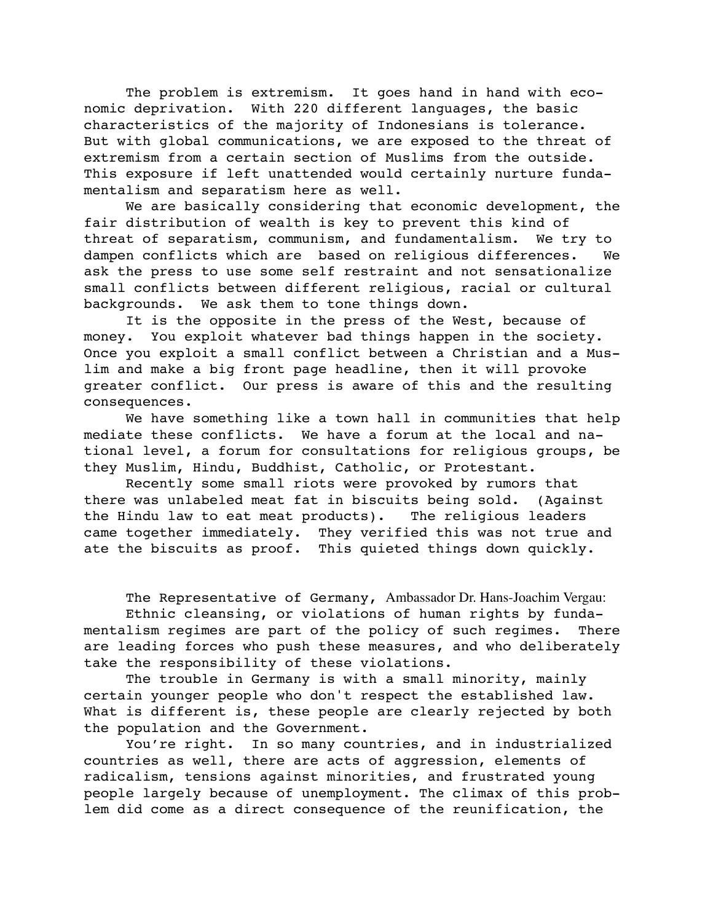The problem is extremism. It goes hand in hand with economic deprivation. With 220 different languages, the basic characteristics of the majority of Indonesians is tolerance. But with global communications, we are exposed to the threat of extremism from a certain section of Muslims from the outside. This exposure if left unattended would certainly nurture fundamentalism and separatism here as well.

We are basically considering that economic development, the fair distribution of wealth is key to prevent this kind of threat of separatism, communism, and fundamentalism. We try to dampen conflicts which are based on religious differences. We ask the press to use some self restraint and not sensationalize small conflicts between different religious, racial or cultural backgrounds. We ask them to tone things down.

It is the opposite in the press of the West, because of money. You exploit whatever bad things happen in the society. Once you exploit a small conflict between a Christian and a Muslim and make a big front page headline, then it will provoke greater conflict. Our press is aware of this and the resulting consequences.

We have something like a town hall in communities that help mediate these conflicts. We have a forum at the local and national level, a forum for consultations for religious groups, be they Muslim, Hindu, Buddhist, Catholic, or Protestant.

Recently some small riots were provoked by rumors that there was unlabeled meat fat in biscuits being sold. (Against the Hindu law to eat meat products). The religious leaders came together immediately. They verified this was not true and ate the biscuits as proof. This quieted things down quickly.

The Representative of Germany, Ambassador Dr. Hans-Joachim Vergau:

Ethnic cleansing, or violations of human rights by fundamentalism regimes are part of the policy of such regimes. There are leading forces who push these measures, and who deliberately take the responsibility of these violations.

The trouble in Germany is with a small minority, mainly certain younger people who don't respect the established law. What is different is, these people are clearly rejected by both the population and the Government.

You're right. In so many countries, and in industrialized countries as well, there are acts of aggression, elements of radicalism, tensions against minorities, and frustrated young people largely because of unemployment. The climax of this problem did come as a direct consequence of the reunification, the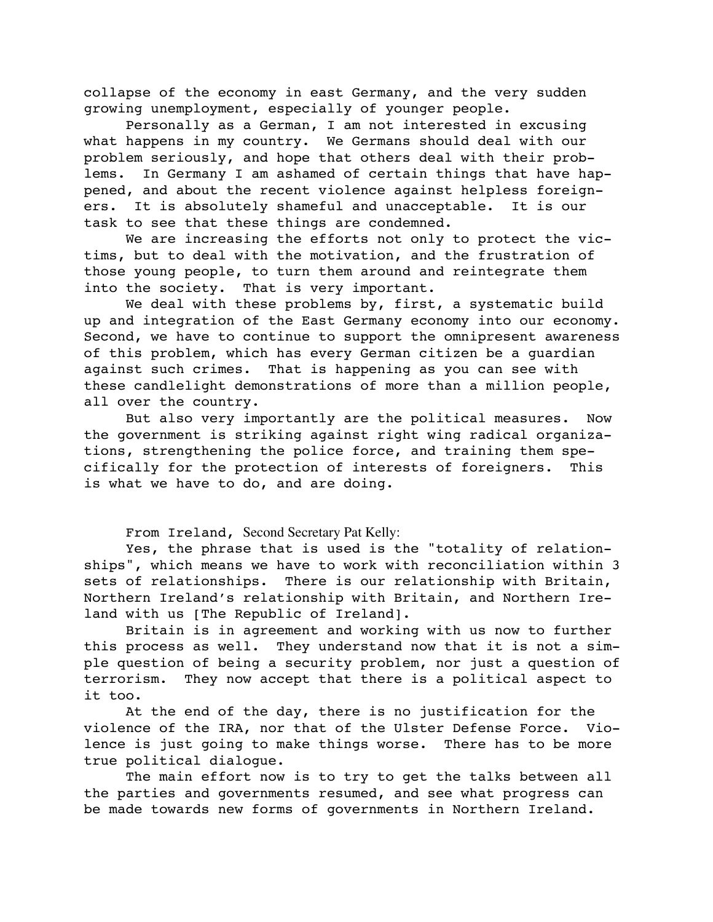collapse of the economy in east Germany, and the very sudden growing unemployment, especially of younger people.

Personally as a German, I am not interested in excusing what happens in my country. We Germans should deal with our problem seriously, and hope that others deal with their problems. In Germany I am ashamed of certain things that have happened, and about the recent violence against helpless foreigners. It is absolutely shameful and unacceptable. It is our task to see that these things are condemned.

We are increasing the efforts not only to protect the victims, but to deal with the motivation, and the frustration of those young people, to turn them around and reintegrate them into the society. That is very important.

We deal with these problems by, first, a systematic build up and integration of the East Germany economy into our economy. Second, we have to continue to support the omnipresent awareness of this problem, which has every German citizen be a guardian against such crimes. That is happening as you can see with these candlelight demonstrations of more than a million people, all over the country.

But also very importantly are the political measures. Now the government is striking against right wing radical organizations, strengthening the police force, and training them specifically for the protection of interests of foreigners. This is what we have to do, and are doing.

From Ireland, Second Secretary Pat Kelly:

Yes, the phrase that is used is the "totality of relationships", which means we have to work with reconciliation within 3 sets of relationships. There is our relationship with Britain, Northern Ireland's relationship with Britain, and Northern Ireland with us [The Republic of Ireland].

Britain is in agreement and working with us now to further this process as well. They understand now that it is not a simple question of being a security problem, nor just a question of terrorism. They now accept that there is a political aspect to it too.

At the end of the day, there is no justification for the violence of the IRA, nor that of the Ulster Defense Force. Violence is just going to make things worse. There has to be more true political dialogue.

The main effort now is to try to get the talks between all the parties and governments resumed, and see what progress can be made towards new forms of governments in Northern Ireland.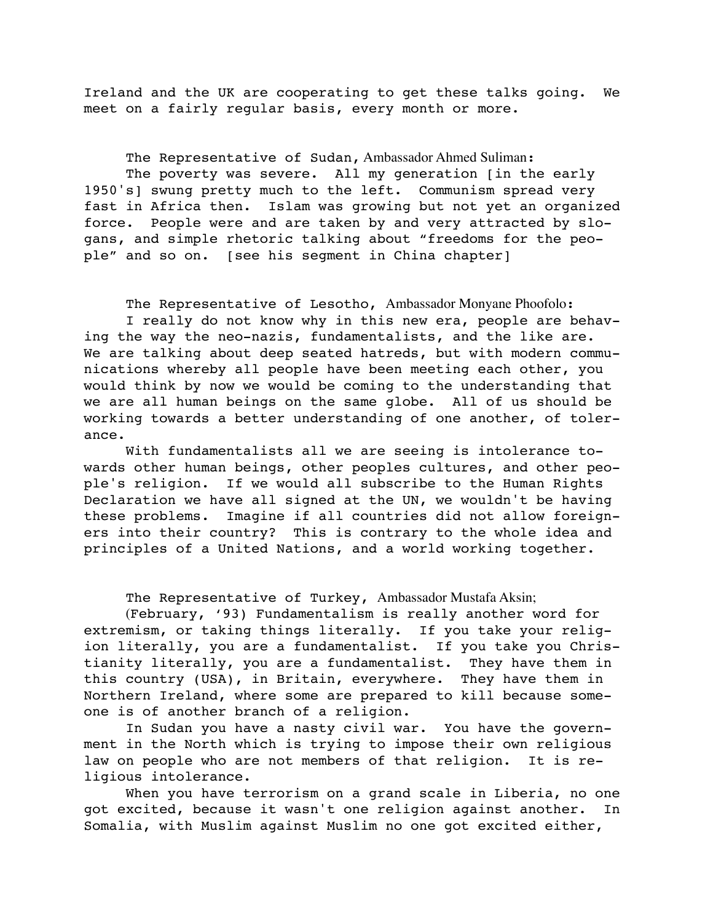Ireland and the UK are cooperating to get these talks going. We meet on a fairly regular basis, every month or more.

The Representative of Sudan, Ambassador Ahmed Suliman: The poverty was severe. All my generation [in the early 1950's] swung pretty much to the left. Communism spread very fast in Africa then. Islam was growing but not yet an organized force. People were and are taken by and very attracted by slogans, and simple rhetoric talking about "freedoms for the people" and so on. [see his segment in China chapter]

The Representative of Lesotho, Ambassador Monyane Phoofolo:

I really do not know why in this new era, people are behaving the way the neo-nazis, fundamentalists, and the like are. We are talking about deep seated hatreds, but with modern communications whereby all people have been meeting each other, you would think by now we would be coming to the understanding that we are all human beings on the same globe. All of us should be working towards a better understanding of one another, of tolerance.

With fundamentalists all we are seeing is intolerance towards other human beings, other peoples cultures, and other people's religion. If we would all subscribe to the Human Rights Declaration we have all signed at the UN, we wouldn't be having these problems. Imagine if all countries did not allow foreigners into their country? This is contrary to the whole idea and principles of a United Nations, and a world working together.

The Representative of Turkey, Ambassador Mustafa Aksin;

(February, '93) Fundamentalism is really another word for extremism, or taking things literally. If you take your religion literally, you are a fundamentalist. If you take you Christianity literally, you are a fundamentalist. They have them in this country (USA), in Britain, everywhere. They have them in Northern Ireland, where some are prepared to kill because someone is of another branch of a religion.

In Sudan you have a nasty civil war. You have the government in the North which is trying to impose their own religious law on people who are not members of that religion. It is religious intolerance.

When you have terrorism on a grand scale in Liberia, no one got excited, because it wasn't one religion against another. In Somalia, with Muslim against Muslim no one got excited either,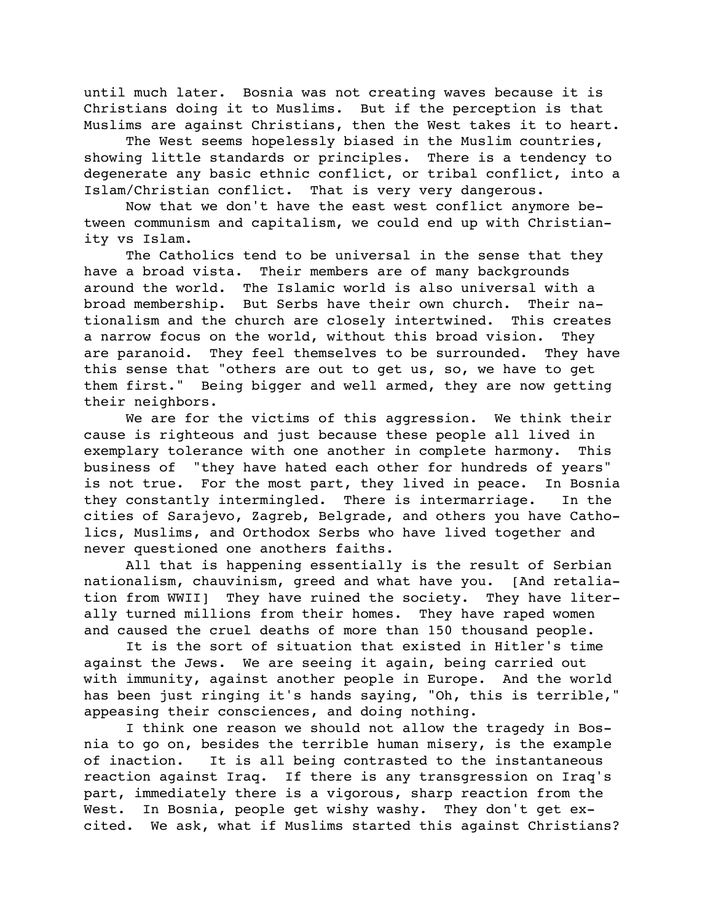until much later. Bosnia was not creating waves because it is Christians doing it to Muslims. But if the perception is that Muslims are against Christians, then the West takes it to heart.

The West seems hopelessly biased in the Muslim countries, showing little standards or principles. There is a tendency to degenerate any basic ethnic conflict, or tribal conflict, into a Islam/Christian conflict. That is very very dangerous.

Now that we don't have the east west conflict anymore between communism and capitalism, we could end up with Christianity vs Islam.

The Catholics tend to be universal in the sense that they have a broad vista. Their members are of many backgrounds around the world. The Islamic world is also universal with a broad membership. But Serbs have their own church. Their nationalism and the church are closely intertwined. This creates a narrow focus on the world, without this broad vision. They are paranoid. They feel themselves to be surrounded. They have this sense that "others are out to get us, so, we have to get them first." Being bigger and well armed, they are now getting their neighbors.

We are for the victims of this aggression. We think their cause is righteous and just because these people all lived in exemplary tolerance with one another in complete harmony. This business of "they have hated each other for hundreds of years" is not true. For the most part, they lived in peace. In Bosnia they constantly intermingled. There is intermarriage. In the cities of Sarajevo, Zagreb, Belgrade, and others you have Catholics, Muslims, and Orthodox Serbs who have lived together and never questioned one anothers faiths.

All that is happening essentially is the result of Serbian nationalism, chauvinism, greed and what have you. [And retaliation from WWII] They have ruined the society. They have literally turned millions from their homes. They have raped women and caused the cruel deaths of more than 150 thousand people.

It is the sort of situation that existed in Hitler's time against the Jews. We are seeing it again, being carried out with immunity, against another people in Europe. And the world has been just ringing it's hands saying, "Oh, this is terrible," appeasing their consciences, and doing nothing.

I think one reason we should not allow the tragedy in Bosnia to go on, besides the terrible human misery, is the example of inaction. It is all being contrasted to the instantaneous reaction against Iraq. If there is any transgression on Iraq's part, immediately there is a vigorous, sharp reaction from the West. In Bosnia, people get wishy washy. They don't get excited. We ask, what if Muslims started this against Christians?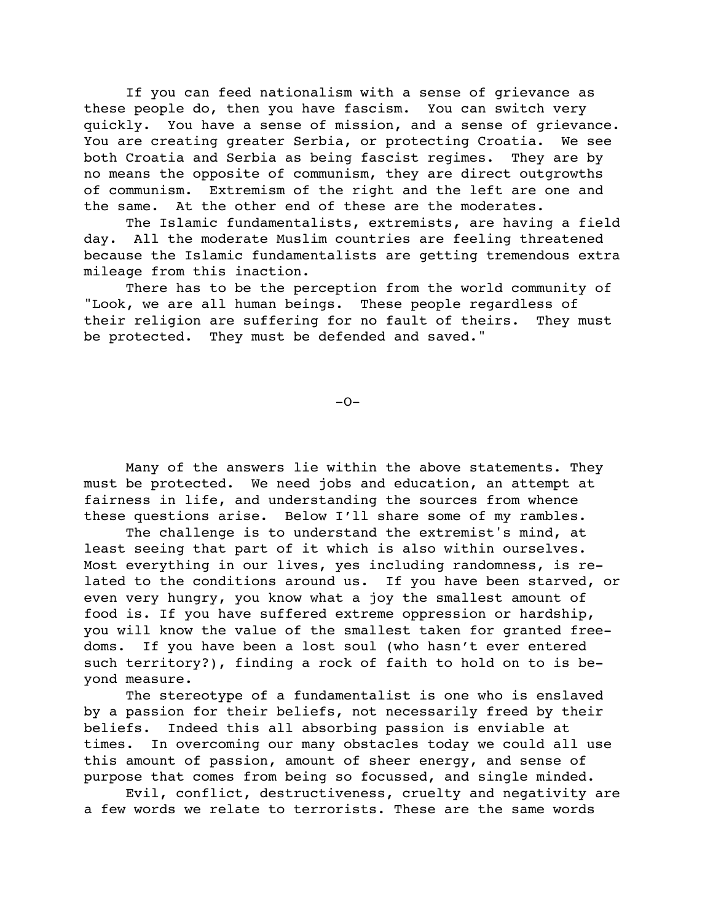If you can feed nationalism with a sense of grievance as these people do, then you have fascism. You can switch very quickly. You have a sense of mission, and a sense of grievance. You are creating greater Serbia, or protecting Croatia. We see both Croatia and Serbia as being fascist regimes. They are by no means the opposite of communism, they are direct outgrowths of communism. Extremism of the right and the left are one and the same. At the other end of these are the moderates.

The Islamic fundamentalists, extremists, are having a field day. All the moderate Muslim countries are feeling threatened because the Islamic fundamentalists are getting tremendous extra mileage from this inaction.

There has to be the perception from the world community of "Look, we are all human beings. These people regardless of their religion are suffering for no fault of theirs. They must be protected. They must be defended and saved."

 $-O-$ 

Many of the answers lie within the above statements. They must be protected. We need jobs and education, an attempt at fairness in life, and understanding the sources from whence these questions arise. Below I'll share some of my rambles.

The challenge is to understand the extremist's mind, at least seeing that part of it which is also within ourselves. Most everything in our lives, yes including randomness, is related to the conditions around us. If you have been starved, or even very hungry, you know what a joy the smallest amount of food is. If you have suffered extreme oppression or hardship, you will know the value of the smallest taken for granted freedoms. If you have been a lost soul (who hasn't ever entered such territory?), finding a rock of faith to hold on to is beyond measure.

The stereotype of a fundamentalist is one who is enslaved by a passion for their beliefs, not necessarily freed by their beliefs. Indeed this all absorbing passion is enviable at times. In overcoming our many obstacles today we could all use this amount of passion, amount of sheer energy, and sense of purpose that comes from being so focussed, and single minded.

Evil, conflict, destructiveness, cruelty and negativity are a few words we relate to terrorists. These are the same words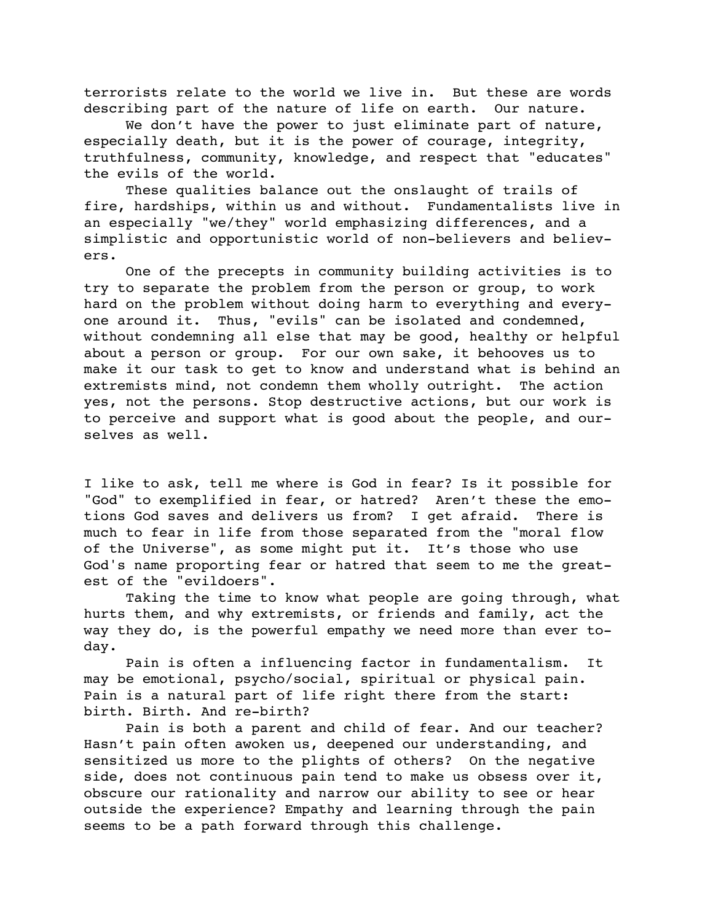terrorists relate to the world we live in. But these are words describing part of the nature of life on earth. Our nature.

We don't have the power to just eliminate part of nature, especially death, but it is the power of courage, integrity, truthfulness, community, knowledge, and respect that "educates" the evils of the world.

These qualities balance out the onslaught of trails of fire, hardships, within us and without. Fundamentalists live in an especially "we/they" world emphasizing differences, and a simplistic and opportunistic world of non-believers and believers.

One of the precepts in community building activities is to try to separate the problem from the person or group, to work hard on the problem without doing harm to everything and everyone around it. Thus, "evils" can be isolated and condemned, without condemning all else that may be good, healthy or helpful about a person or group. For our own sake, it behooves us to make it our task to get to know and understand what is behind an extremists mind, not condemn them wholly outright. The action yes, not the persons. Stop destructive actions, but our work is to perceive and support what is good about the people, and ourselves as well.

I like to ask, tell me where is God in fear? Is it possible for "God" to exemplified in fear, or hatred? Aren't these the emotions God saves and delivers us from? I get afraid. There is much to fear in life from those separated from the "moral flow of the Universe", as some might put it. It's those who use God's name proporting fear or hatred that seem to me the greatest of the "evildoers".

Taking the time to know what people are going through, what hurts them, and why extremists, or friends and family, act the way they do, is the powerful empathy we need more than ever today.

Pain is often a influencing factor in fundamentalism. It may be emotional, psycho/social, spiritual or physical pain. Pain is a natural part of life right there from the start: birth. Birth. And re-birth?

Pain is both a parent and child of fear. And our teacher? Hasn't pain often awoken us, deepened our understanding, and sensitized us more to the plights of others? On the negative side, does not continuous pain tend to make us obsess over it, obscure our rationality and narrow our ability to see or hear outside the experience? Empathy and learning through the pain seems to be a path forward through this challenge.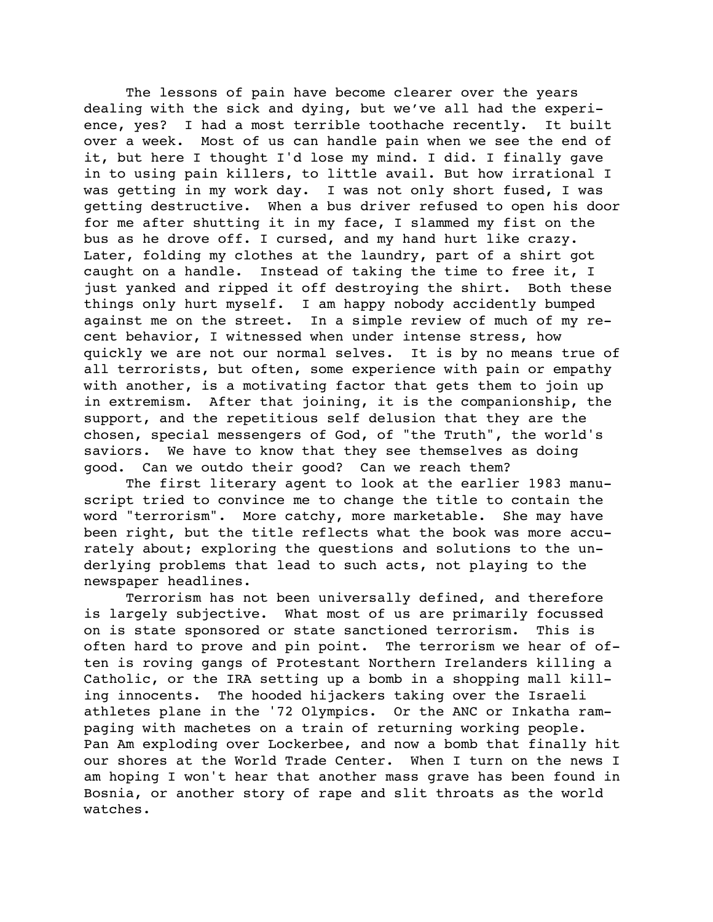The lessons of pain have become clearer over the years dealing with the sick and dying, but we've all had the experience, yes? I had a most terrible toothache recently. It built over a week. Most of us can handle pain when we see the end of it, but here I thought I'd lose my mind. I did. I finally gave in to using pain killers, to little avail. But how irrational I was getting in my work day. I was not only short fused, I was getting destructive. When a bus driver refused to open his door for me after shutting it in my face, I slammed my fist on the bus as he drove off. I cursed, and my hand hurt like crazy. Later, folding my clothes at the laundry, part of a shirt got caught on a handle. Instead of taking the time to free it, I just yanked and ripped it off destroying the shirt. Both these things only hurt myself. I am happy nobody accidently bumped against me on the street. In a simple review of much of my recent behavior, I witnessed when under intense stress, how quickly we are not our normal selves. It is by no means true of all terrorists, but often, some experience with pain or empathy with another, is a motivating factor that gets them to join up in extremism. After that joining, it is the companionship, the support, and the repetitious self delusion that they are the chosen, special messengers of God, of "the Truth", the world's saviors. We have to know that they see themselves as doing good. Can we outdo their good? Can we reach them?

The first literary agent to look at the earlier 1983 manuscript tried to convince me to change the title to contain the word "terrorism". More catchy, more marketable. She may have been right, but the title reflects what the book was more accurately about; exploring the questions and solutions to the underlying problems that lead to such acts, not playing to the newspaper headlines.

Terrorism has not been universally defined, and therefore is largely subjective. What most of us are primarily focussed on is state sponsored or state sanctioned terrorism. This is often hard to prove and pin point. The terrorism we hear of often is roving gangs of Protestant Northern Irelanders killing a Catholic, or the IRA setting up a bomb in a shopping mall killing innocents. The hooded hijackers taking over the Israeli athletes plane in the '72 Olympics. Or the ANC or Inkatha rampaging with machetes on a train of returning working people. Pan Am exploding over Lockerbee, and now a bomb that finally hit our shores at the World Trade Center. When I turn on the news I am hoping I won't hear that another mass grave has been found in Bosnia, or another story of rape and slit throats as the world watches.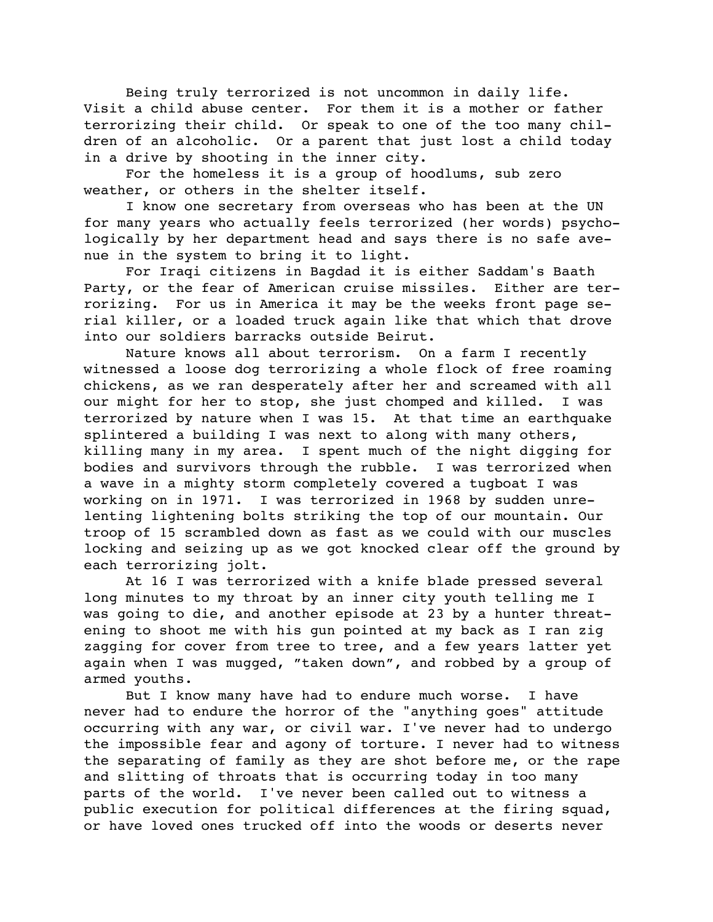Being truly terrorized is not uncommon in daily life. Visit a child abuse center. For them it is a mother or father terrorizing their child. Or speak to one of the too many children of an alcoholic. Or a parent that just lost a child today in a drive by shooting in the inner city.

For the homeless it is a group of hoodlums, sub zero weather, or others in the shelter itself.

I know one secretary from overseas who has been at the UN for many years who actually feels terrorized (her words) psychologically by her department head and says there is no safe avenue in the system to bring it to light.

For Iraqi citizens in Bagdad it is either Saddam's Baath Party, or the fear of American cruise missiles. Either are terrorizing. For us in America it may be the weeks front page serial killer, or a loaded truck again like that which that drove into our soldiers barracks outside Beirut.

Nature knows all about terrorism. On a farm I recently witnessed a loose dog terrorizing a whole flock of free roaming chickens, as we ran desperately after her and screamed with all our might for her to stop, she just chomped and killed. I was terrorized by nature when I was 15. At that time an earthquake splintered a building I was next to along with many others, killing many in my area. I spent much of the night digging for bodies and survivors through the rubble. I was terrorized when a wave in a mighty storm completely covered a tugboat I was working on in 1971. I was terrorized in 1968 by sudden unrelenting lightening bolts striking the top of our mountain. Our troop of 15 scrambled down as fast as we could with our muscles locking and seizing up as we got knocked clear off the ground by each terrorizing jolt.

At 16 I was terrorized with a knife blade pressed several long minutes to my throat by an inner city youth telling me I was going to die, and another episode at 23 by a hunter threatening to shoot me with his gun pointed at my back as I ran zig zagging for cover from tree to tree, and a few years latter yet again when I was mugged, "taken down", and robbed by a group of armed youths.

But I know many have had to endure much worse. I have never had to endure the horror of the "anything goes" attitude occurring with any war, or civil war. I've never had to undergo the impossible fear and agony of torture. I never had to witness the separating of family as they are shot before me, or the rape and slitting of throats that is occurring today in too many parts of the world. I've never been called out to witness a public execution for political differences at the firing squad, or have loved ones trucked off into the woods or deserts never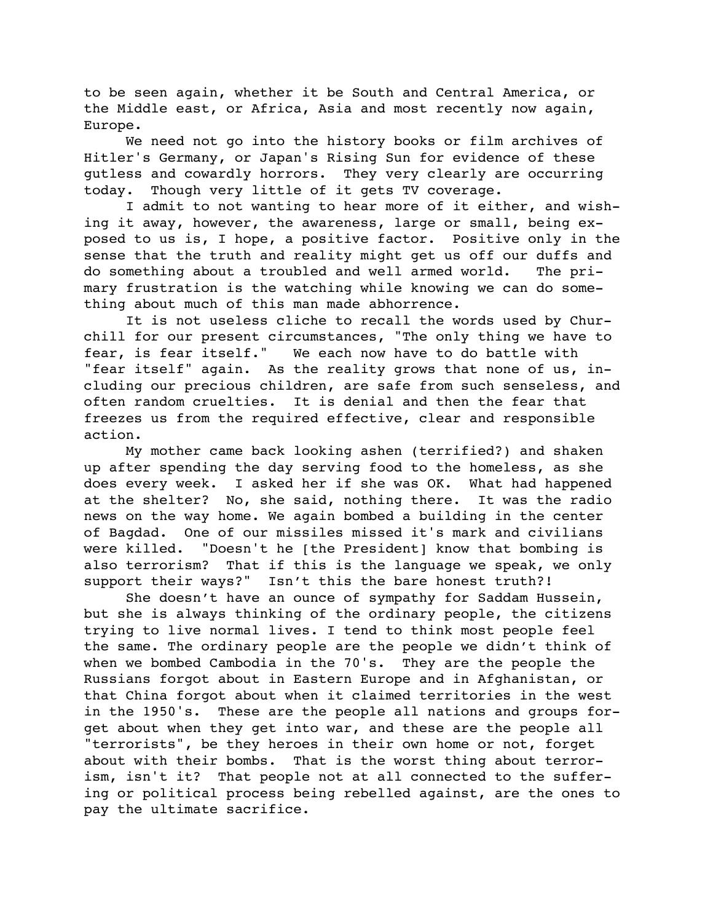to be seen again, whether it be South and Central America, or the Middle east, or Africa, Asia and most recently now again, Europe.

We need not go into the history books or film archives of Hitler's Germany, or Japan's Rising Sun for evidence of these gutless and cowardly horrors. They very clearly are occurring today. Though very little of it gets TV coverage.

I admit to not wanting to hear more of it either, and wishing it away, however, the awareness, large or small, being exposed to us is, I hope, a positive factor. Positive only in the sense that the truth and reality might get us off our duffs and do something about a troubled and well armed world. The primary frustration is the watching while knowing we can do something about much of this man made abhorrence.

It is not useless cliche to recall the words used by Churchill for our present circumstances, "The only thing we have to fear, is fear itself." We each now have to do battle with "fear itself" again. As the reality grows that none of us, including our precious children, are safe from such senseless, and often random cruelties. It is denial and then the fear that freezes us from the required effective, clear and responsible action.

My mother came back looking ashen (terrified?) and shaken up after spending the day serving food to the homeless, as she does every week. I asked her if she was OK. What had happened at the shelter? No, she said, nothing there. It was the radio news on the way home. We again bombed a building in the center of Bagdad. One of our missiles missed it's mark and civilians were killed. "Doesn't he [the President] know that bombing is also terrorism? That if this is the language we speak, we only support their ways?" Isn't this the bare honest truth?!

She doesn't have an ounce of sympathy for Saddam Hussein, but she is always thinking of the ordinary people, the citizens trying to live normal lives. I tend to think most people feel the same. The ordinary people are the people we didn't think of when we bombed Cambodia in the 70's. They are the people the Russians forgot about in Eastern Europe and in Afghanistan, or that China forgot about when it claimed territories in the west in the 1950's. These are the people all nations and groups forget about when they get into war, and these are the people all "terrorists", be they heroes in their own home or not, forget about with their bombs. That is the worst thing about terrorism, isn't it? That people not at all connected to the suffering or political process being rebelled against, are the ones to pay the ultimate sacrifice.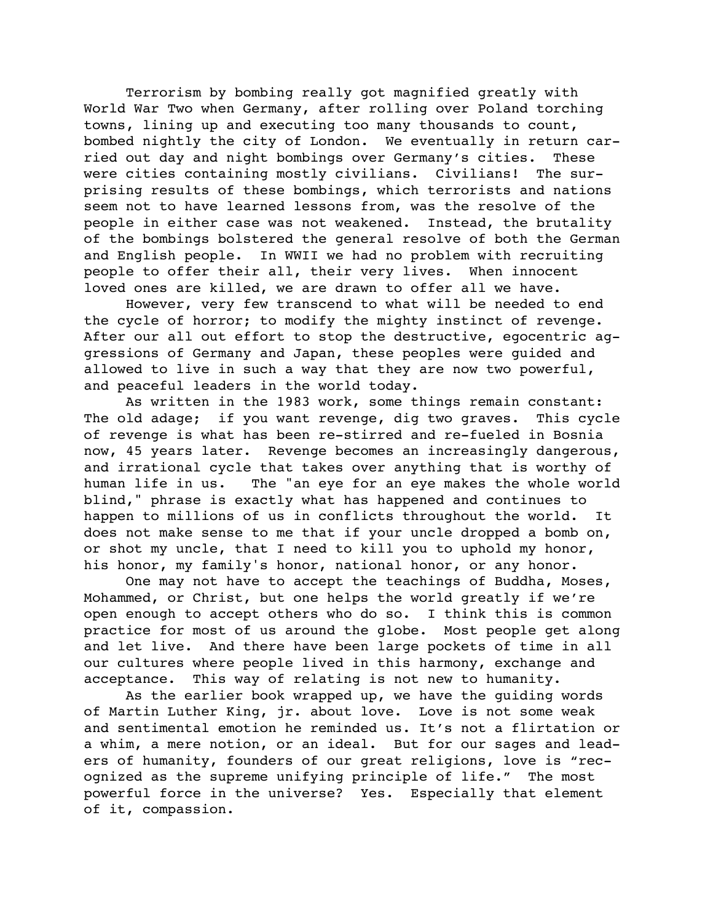Terrorism by bombing really got magnified greatly with World War Two when Germany, after rolling over Poland torching towns, lining up and executing too many thousands to count, bombed nightly the city of London. We eventually in return carried out day and night bombings over Germany's cities. These were cities containing mostly civilians. Civilians! The surprising results of these bombings, which terrorists and nations seem not to have learned lessons from, was the resolve of the people in either case was not weakened. Instead, the brutality of the bombings bolstered the general resolve of both the German and English people. In WWII we had no problem with recruiting people to offer their all, their very lives. When innocent loved ones are killed, we are drawn to offer all we have.

However, very few transcend to what will be needed to end the cycle of horror; to modify the mighty instinct of revenge. After our all out effort to stop the destructive, egocentric aggressions of Germany and Japan, these peoples were guided and allowed to live in such a way that they are now two powerful, and peaceful leaders in the world today.

As written in the 1983 work, some things remain constant: The old adage; if you want revenge, dig two graves. This cycle of revenge is what has been re-stirred and re-fueled in Bosnia now, 45 years later. Revenge becomes an increasingly dangerous, and irrational cycle that takes over anything that is worthy of human life in us. The "an eye for an eye makes the whole world blind," phrase is exactly what has happened and continues to happen to millions of us in conflicts throughout the world. It does not make sense to me that if your uncle dropped a bomb on, or shot my uncle, that I need to kill you to uphold my honor, his honor, my family's honor, national honor, or any honor.

One may not have to accept the teachings of Buddha, Moses, Mohammed, or Christ, but one helps the world greatly if we're open enough to accept others who do so. I think this is common practice for most of us around the globe. Most people get along and let live. And there have been large pockets of time in all our cultures where people lived in this harmony, exchange and acceptance. This way of relating is not new to humanity.

As the earlier book wrapped up, we have the guiding words of Martin Luther King, jr. about love. Love is not some weak and sentimental emotion he reminded us. It's not a flirtation or a whim, a mere notion, or an ideal. But for our sages and leaders of humanity, founders of our great religions, love is "recognized as the supreme unifying principle of life." The most powerful force in the universe? Yes. Especially that element of it, compassion.